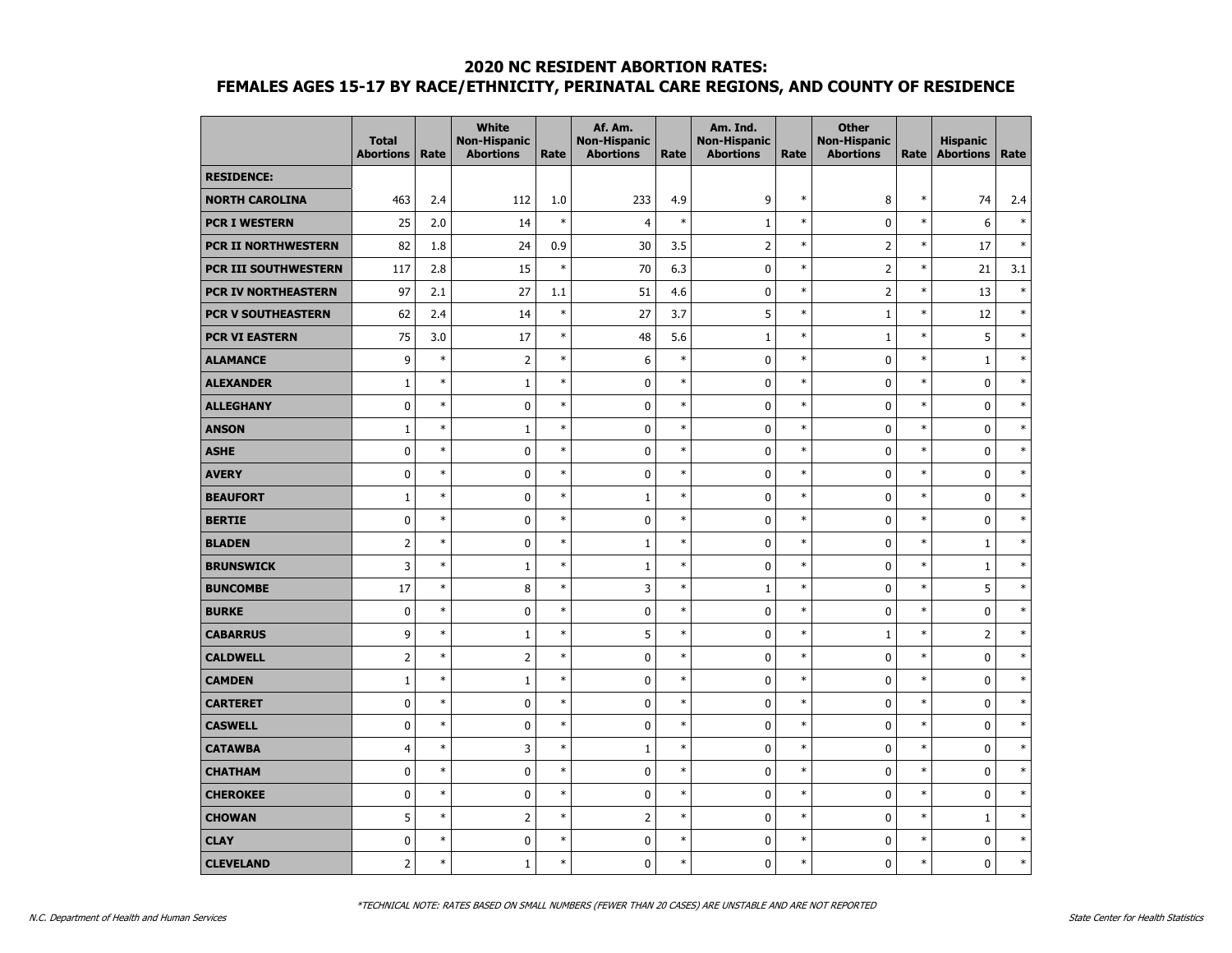|                            | <b>Total</b><br><b>Abortions</b> | Rate   | <b>White</b><br><b>Non-Hispanic</b><br><b>Abortions</b> | Rate   | Af. Am.<br><b>Non-Hispanic</b><br><b>Abortions</b> | Rate   | Am. Ind.<br><b>Non-Hispanic</b><br><b>Abortions</b> | Rate   | <b>Other</b><br><b>Non-Hispanic</b><br><b>Abortions</b> | Rate   | <b>Hispanic</b><br><b>Abortions</b> | Rate   |
|----------------------------|----------------------------------|--------|---------------------------------------------------------|--------|----------------------------------------------------|--------|-----------------------------------------------------|--------|---------------------------------------------------------|--------|-------------------------------------|--------|
| <b>RESIDENCE:</b>          |                                  |        |                                                         |        |                                                    |        |                                                     |        |                                                         |        |                                     |        |
| <b>NORTH CAROLINA</b>      | 463                              | 2.4    | 112                                                     | 1.0    | 233                                                | 4.9    | 9                                                   | $\ast$ | 8                                                       | $\ast$ | 74                                  | 2.4    |
| <b>PCR I WESTERN</b>       | 25                               | 2.0    | 14                                                      | $\ast$ | $\overline{4}$                                     | $\ast$ | $\mathbf{1}$                                        | $\ast$ | 0                                                       | $\ast$ | 6                                   | $\ast$ |
| <b>PCR II NORTHWESTERN</b> | 82                               | 1.8    | 24                                                      | 0.9    | 30                                                 | 3.5    | $\overline{2}$                                      | $\ast$ | $\overline{2}$                                          | $\ast$ | 17                                  | $\ast$ |
| PCR III SOUTHWESTERN       | 117                              | 2.8    | 15                                                      | $\ast$ | 70                                                 | 6.3    | $\pmb{0}$                                           | $\ast$ | $\overline{2}$                                          | $\ast$ | 21                                  | 3.1    |
| PCR IV NORTHEASTERN        | 97                               | 2.1    | 27                                                      | 1.1    | 51                                                 | 4.6    | 0                                                   | $\ast$ | $\overline{2}$                                          | $\ast$ | 13                                  | $\ast$ |
| <b>PCR V SOUTHEASTERN</b>  | 62                               | 2.4    | 14                                                      | $\ast$ | 27                                                 | 3.7    | 5                                                   | $\ast$ | $\mathbf{1}$                                            | $\ast$ | 12                                  | $\ast$ |
| <b>PCR VI EASTERN</b>      | 75                               | 3.0    | 17                                                      | $\ast$ | 48                                                 | 5.6    | $1\,$                                               | $\ast$ | $\mathbf{1}$                                            | $\ast$ | 5                                   | $\ast$ |
| <b>ALAMANCE</b>            | 9                                | $\ast$ | $\overline{2}$                                          | $\ast$ | 6                                                  | $\ast$ | 0                                                   | $\ast$ | 0                                                       | $\ast$ | $\mathbf{1}$                        | $\ast$ |
| <b>ALEXANDER</b>           | $1\,$                            | $\ast$ | $1\,$                                                   | $\ast$ | $\pmb{0}$                                          | $\ast$ | 0                                                   | $\ast$ | 0                                                       | $\ast$ | $\mathbf 0$                         | $\ast$ |
| <b>ALLEGHANY</b>           | $\mathbf 0$                      | $\ast$ | $\pmb{0}$                                               | $\ast$ | $\pmb{0}$                                          | $\ast$ | 0                                                   | $\ast$ | 0                                                       | $\ast$ | $\mathbf 0$                         | $\ast$ |
| <b>ANSON</b>               | $\mathbf{1}$                     | $\ast$ | $1\,$                                                   | $\ast$ | $\pmb{0}$                                          | $\ast$ | 0                                                   | $\ast$ | 0                                                       | $\ast$ | $\mathbf 0$                         | $\ast$ |
| <b>ASHE</b>                | $\mathbf 0$                      | $\ast$ | 0                                                       | $\ast$ | $\mathbf 0$                                        | $\ast$ | 0                                                   | $\ast$ | $\mathbf 0$                                             | $\ast$ | $\mathbf 0$                         | $\ast$ |
| <b>AVERY</b>               | $\mathbf 0$                      | $\ast$ | 0                                                       | $\ast$ | $\mathbf 0$                                        | $\ast$ | 0                                                   | $\ast$ | $\mathbf 0$                                             | $\ast$ | $\mathbf 0$                         | $\ast$ |
| <b>BEAUFORT</b>            | $\mathbf{1}$                     | $\ast$ | $\pmb{0}$                                               | $\ast$ | $\mathbf 1$                                        | $\ast$ | 0                                                   | $\ast$ | 0                                                       | $\ast$ | $\pmb{0}$                           | $\ast$ |
| <b>BERTIE</b>              | $\mathbf 0$                      | $\ast$ | 0                                                       | $\ast$ | $\pmb{0}$                                          | $\ast$ | $\mathbf 0$                                         | $\ast$ | $\mathbf 0$                                             | $\ast$ | $\mathbf 0$                         | $\ast$ |
| <b>BLADEN</b>              | $\overline{2}$                   | $\ast$ | 0                                                       | $\ast$ | $\mathbf{1}$                                       | $\ast$ | 0                                                   | $\ast$ | 0                                                       | $\ast$ | $\mathbf{1}$                        | $\ast$ |
| <b>BRUNSWICK</b>           | 3                                | $\ast$ | $\mathbf{1}$                                            | $\ast$ | $1\,$                                              | $\ast$ | 0                                                   | $\ast$ | $\mathbf 0$                                             | $\ast$ | $1\,$                               | $\ast$ |
| <b>BUNCOMBE</b>            | 17                               | $\ast$ | 8                                                       | $\ast$ | 3                                                  | $\ast$ | $\mathbf{1}$                                        | $\ast$ | 0                                                       | $\ast$ | 5                                   | $\ast$ |
| <b>BURKE</b>               | $\mathbf 0$                      | $\ast$ | 0                                                       | $\ast$ | $\pmb{0}$                                          | $\ast$ | 0                                                   | $\ast$ | $\mathbf 0$                                             | $\ast$ | $\pmb{0}$                           | $\ast$ |
| <b>CABARRUS</b>            | 9                                | $\ast$ | $\mathbf{1}$                                            | $\ast$ | 5                                                  | $\ast$ | 0                                                   | $\ast$ | 1                                                       | $\ast$ | $\overline{2}$                      | $\ast$ |
| <b>CALDWELL</b>            | $\overline{2}$                   | $\ast$ | $\overline{2}$                                          | $\ast$ | $\mathbf 0$                                        | $\ast$ | 0                                                   | $\ast$ | 0                                                       | $\ast$ | $\mathbf 0$                         | $\ast$ |
| <b>CAMDEN</b>              | $\mathbf{1}$                     | $\ast$ | $\mathbf{1}$                                            | $\ast$ | $\mathbf 0$                                        | $\ast$ | $\mathbf 0$                                         | $\ast$ | $\mathbf 0$                                             | $\ast$ | $\mathbf 0$                         | $\ast$ |
| <b>CARTERET</b>            | $\mathbf 0$                      | $\ast$ | 0                                                       | $\ast$ | $\mathbf 0$                                        | $\ast$ | $\mathbf 0$                                         | $\ast$ | $\mathbf 0$                                             | $\ast$ | $\mathbf 0$                         | $\ast$ |
| <b>CASWELL</b>             | $\mathbf 0$                      | $\ast$ | 0                                                       | $\ast$ | $\pmb{0}$                                          | $\ast$ | 0                                                   | $\ast$ | 0                                                       | $\ast$ | $\pmb{0}$                           | $\ast$ |
| <b>CATAWBA</b>             | 4                                | $\ast$ | 3                                                       | $\ast$ | $\mathbf{1}$                                       | $\ast$ | 0                                                   | $\ast$ | $\mathbf 0$                                             | $\ast$ | $\mathbf 0$                         | $\ast$ |
| <b>CHATHAM</b>             | $\mathbf 0$                      | $\ast$ | 0                                                       | $\ast$ | $\pmb{0}$                                          | $\ast$ | 0                                                   | $\ast$ | 0                                                       | $\ast$ | $\mathbf 0$                         | $\ast$ |
| <b>CHEROKEE</b>            | $\mathbf 0$                      | $\ast$ | 0                                                       | $\ast$ | $\mathbf 0$                                        | $\ast$ | $\mathbf 0$                                         | $\ast$ | $\mathbf 0$                                             | $\ast$ | $\mathbf 0$                         | $\ast$ |
| <b>CHOWAN</b>              | 5                                | $\ast$ | $\overline{2}$                                          | $\ast$ | $\overline{2}$                                     | $\ast$ | 0                                                   | $\ast$ | 0                                                       | $\ast$ | $\mathbf{1}$                        | $\ast$ |
| <b>CLAY</b>                | $\mathbf 0$                      | $\ast$ | 0                                                       | $\ast$ | $\pmb{0}$                                          | $\ast$ | 0                                                   | $\ast$ | 0                                                       | $\ast$ | $\pmb{0}$                           | $\ast$ |
| <b>CLEVELAND</b>           | $\overline{2}$                   | $\ast$ | $\mathbf{1}$                                            | $\ast$ | $\mathbf 0$                                        | $\ast$ | 0                                                   | $\ast$ | 0                                                       | $\ast$ | $\mathbf 0$                         | $\ast$ |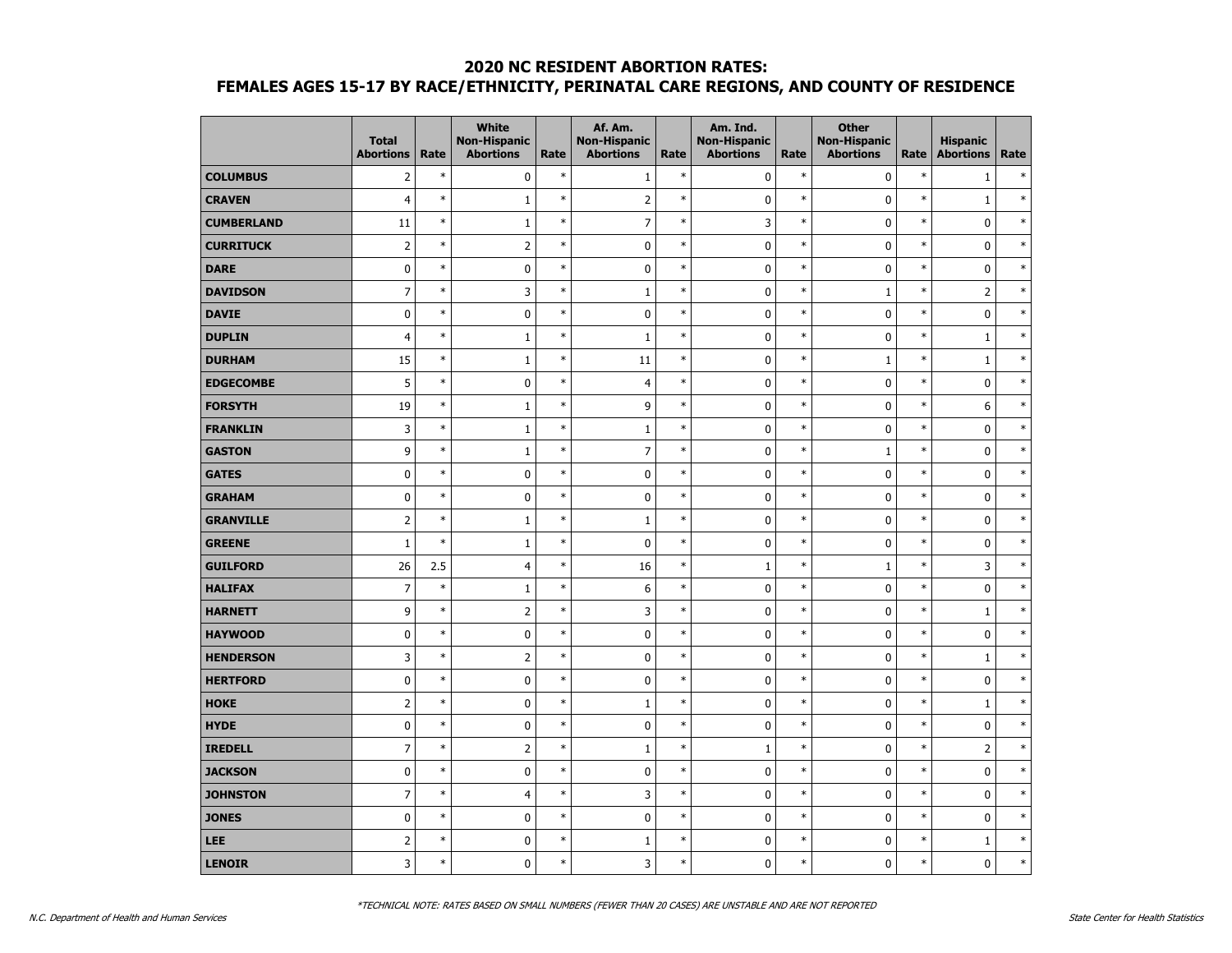|                   | <b>Total</b><br><b>Abortions</b> | Rate   | <b>White</b><br><b>Non-Hispanic</b><br><b>Abortions</b> | Rate   | Af. Am.<br><b>Non-Hispanic</b><br><b>Abortions</b> | Rate   | Am. Ind.<br><b>Non-Hispanic</b><br><b>Abortions</b> | Rate   | <b>Other</b><br><b>Non-Hispanic</b><br><b>Abortions</b> | Rate   | <b>Hispanic</b><br><b>Abortions</b> | Rate   |
|-------------------|----------------------------------|--------|---------------------------------------------------------|--------|----------------------------------------------------|--------|-----------------------------------------------------|--------|---------------------------------------------------------|--------|-------------------------------------|--------|
| <b>COLUMBUS</b>   | $\overline{2}$                   | $\ast$ | 0                                                       | $\ast$ | $\mathbf{1}$                                       | $\ast$ | 0                                                   | $\ast$ | 0                                                       | $\ast$ | 1                                   | $\ast$ |
| <b>CRAVEN</b>     | $\overline{4}$                   | $\ast$ | $\mathbf 1$                                             | $\ast$ | $\overline{2}$                                     | $\ast$ | $\pmb{0}$                                           | $\ast$ | $\mathbf 0$                                             | $\ast$ | $\mathbf{1}$                        | $\ast$ |
| <b>CUMBERLAND</b> | 11                               | $\ast$ | $\mathbf{1}$                                            | $\ast$ | $\overline{7}$                                     | $\ast$ | 3                                                   | $\ast$ | 0                                                       | $\ast$ | $\mathbf 0$                         | $\ast$ |
| <b>CURRITUCK</b>  | $\overline{2}$                   | $\ast$ | $\overline{2}$                                          | $\ast$ | $\mathbf 0$                                        | $\ast$ | 0                                                   | $\ast$ | $\mathbf 0$                                             | $\ast$ | $\mathbf 0$                         | $\ast$ |
| <b>DARE</b>       | $\pmb{0}$                        | $\ast$ | 0                                                       | $\ast$ | $\pmb{0}$                                          | $\ast$ | 0                                                   | $\ast$ | 0                                                       | $\ast$ | $\pmb{0}$                           | $\ast$ |
| <b>DAVIDSON</b>   | $\overline{7}$                   | $\ast$ | 3                                                       | $\ast$ | $\mathbf 1$                                        | $\ast$ | 0                                                   | $\ast$ | $\mathbf 1$                                             | $\ast$ | $\mathsf{2}$                        | $\ast$ |
| <b>DAVIE</b>      | $\pmb{0}$                        | $\ast$ | $\mathbf 0$                                             | $\ast$ | $\pmb{0}$                                          | $\ast$ | $\pmb{0}$                                           | $\ast$ | $\mathbf 0$                                             | $\ast$ | $\mathbf 0$                         | $\ast$ |
| <b>DUPLIN</b>     | $\overline{4}$                   | $\ast$ | $1\,$                                                   | $\ast$ | $1\,$                                              | $\ast$ | 0                                                   | $\ast$ | $\mathbf 0$                                             | $\ast$ | $\mathbf{1}$                        | $\ast$ |
| <b>DURHAM</b>     | 15                               | $\ast$ | $\mathbf{1}$                                            | $\ast$ | 11                                                 | $\ast$ | 0                                                   | $\ast$ | 1                                                       | $\ast$ | $\mathbf{1}$                        | $\ast$ |
| <b>EDGECOMBE</b>  | 5                                | $\ast$ | 0                                                       | $\ast$ | $\overline{4}$                                     | $\ast$ | 0                                                   | $\ast$ | 0                                                       | $\ast$ | $\pmb{0}$                           | $\ast$ |
| <b>FORSYTH</b>    | 19                               | $\ast$ | $1\,$                                                   | $\ast$ | 9                                                  | $\ast$ | 0                                                   | $\ast$ | 0                                                       | $\ast$ | 6                                   | $\ast$ |
| <b>FRANKLIN</b>   | 3                                | $\ast$ | $1\,$                                                   | $\ast$ | $1\,$                                              | $\ast$ | 0                                                   | $\ast$ | $\mathbf 0$                                             | $\ast$ | $\mathbf 0$                         | $\ast$ |
| <b>GASTON</b>     | 9                                | $\ast$ | $\mathbf{1}$                                            | $\ast$ | $\overline{7}$                                     | $\ast$ | 0                                                   | $\ast$ | $\mathbf{1}$                                            | $\ast$ | $\mathbf 0$                         | $\ast$ |
| <b>GATES</b>      | $\mathbf 0$                      | $\ast$ | 0                                                       | $\ast$ | $\mathbf 0$                                        | $\ast$ | 0                                                   | $\ast$ | 0                                                       | $\ast$ | $\mathbf 0$                         | $\ast$ |
| <b>GRAHAM</b>     | $\pmb{0}$                        | $\ast$ | $\pmb{0}$                                               | $\ast$ | $\pmb{0}$                                          | $\ast$ | 0                                                   | $\ast$ | 0                                                       | $\ast$ | $\pmb{0}$                           | $\ast$ |
| <b>GRANVILLE</b>  | $\overline{2}$                   | $\ast$ | $1\,$                                                   | $\ast$ | $\mathbf 1$                                        | $\ast$ | $\pmb{0}$                                           | $\ast$ | $\mathbf 0$                                             | $\ast$ | $\pmb{0}$                           | $\ast$ |
| <b>GREENE</b>     | $\mathbf{1}$                     | $\ast$ | $\mathbf{1}$                                            | $\ast$ | $\pmb{0}$                                          | $\ast$ | 0                                                   | $\ast$ | 0                                                       | $\ast$ | $\pmb{0}$                           | $\ast$ |
| <b>GUILFORD</b>   | 26                               | 2.5    | $\overline{4}$                                          | $\ast$ | 16                                                 | $\ast$ | $\mathbf{1}$                                        | $\ast$ | $\mathbf 1$                                             | $\ast$ | 3                                   | $\ast$ |
| <b>HALIFAX</b>    | $\overline{7}$                   | $\ast$ | $\,1\,$                                                 | $\ast$ | $\boldsymbol{6}$                                   | $\ast$ | 0                                                   | $\ast$ | $\mathbf 0$                                             | $\ast$ | $\mathbf 0$                         | $\ast$ |
| <b>HARNETT</b>    | 9                                | $\ast$ | $\mathsf{2}\,$                                          | $\ast$ | 3                                                  | $\ast$ | 0                                                   | $\ast$ | 0                                                       | $\ast$ | $\mathbf 1$                         | $\ast$ |
| <b>HAYWOOD</b>    | 0                                | $\ast$ | $\pmb{0}$                                               | $\ast$ | $\pmb{0}$                                          | $\ast$ | 0                                                   | $\ast$ | 0                                                       | $\ast$ | 0                                   | $\ast$ |
| <b>HENDERSON</b>  | 3                                | $\ast$ | $\overline{2}$                                          | $\ast$ | $\mathbf 0$                                        | $\ast$ | 0                                                   | $\ast$ | 0                                                       | $\ast$ | $\mathbf{1}$                        | $\ast$ |
| <b>HERTFORD</b>   | $\mathbf 0$                      | $\ast$ | $\mathbf 0$                                             | $\ast$ | $\mathbf 0$                                        | $\ast$ | 0                                                   | $\ast$ | $\mathbf 0$                                             | $\ast$ | $\mathbf 0$                         | $\ast$ |
| <b>HOKE</b>       | $\overline{2}$                   | $\ast$ | 0                                                       | $\ast$ | $\mathbf 1$                                        | $\ast$ | 0                                                   | $\ast$ | $\mathbf 0$                                             | $\ast$ | $1\,$                               | $\ast$ |
| <b>HYDE</b>       | $\pmb{0}$                        | $\ast$ | $\pmb{0}$                                               | $\ast$ | $\pmb{0}$                                          | $\ast$ | 0                                                   | $\ast$ | 0                                                       | $\ast$ | $\pmb{0}$                           | $\ast$ |
| <b>IREDELL</b>    | $\overline{7}$                   | $\ast$ | $\overline{2}$                                          | $\ast$ | $\mathbf{1}$                                       | $\ast$ | $\mathbf{1}$                                        | $\ast$ | 0                                                       | $\ast$ | $\overline{2}$                      | $\ast$ |
| <b>JACKSON</b>    | $\mathbf 0$                      | $\ast$ | $\mathbf 0$                                             | $\ast$ | $\pmb{0}$                                          | $\ast$ | 0                                                   | $\ast$ | $\mathbf 0$                                             | $\ast$ | $\mathbf 0$                         | $\ast$ |
| <b>JOHNSTON</b>   | $\overline{7}$                   | $\ast$ | $\overline{4}$                                          | $\ast$ | 3                                                  | $\ast$ | 0                                                   | $\ast$ | $\mathbf 0$                                             | $\ast$ | $\mathbf 0$                         | $\ast$ |
| <b>JONES</b>      | $\pmb{0}$                        | $\ast$ | 0                                                       | $\ast$ | $\pmb{0}$                                          | $\ast$ | 0                                                   | $\ast$ | 0                                                       | $\ast$ | $\pmb{0}$                           | $\ast$ |
| <b>LEE</b>        | $\overline{2}$                   | $\ast$ | 0                                                       | $\ast$ | $\mathbf 1$                                        | $\ast$ | 0                                                   | $\ast$ | 0                                                       | $\ast$ | $\mathbf{1}$                        | $\ast$ |
| <b>LENOIR</b>     | 3                                | $\ast$ | $\mathbf 0$                                             | $\ast$ | 3                                                  | $\ast$ | 0                                                   | $\ast$ | 0                                                       | $\ast$ | $\mathbf 0$                         | $\ast$ |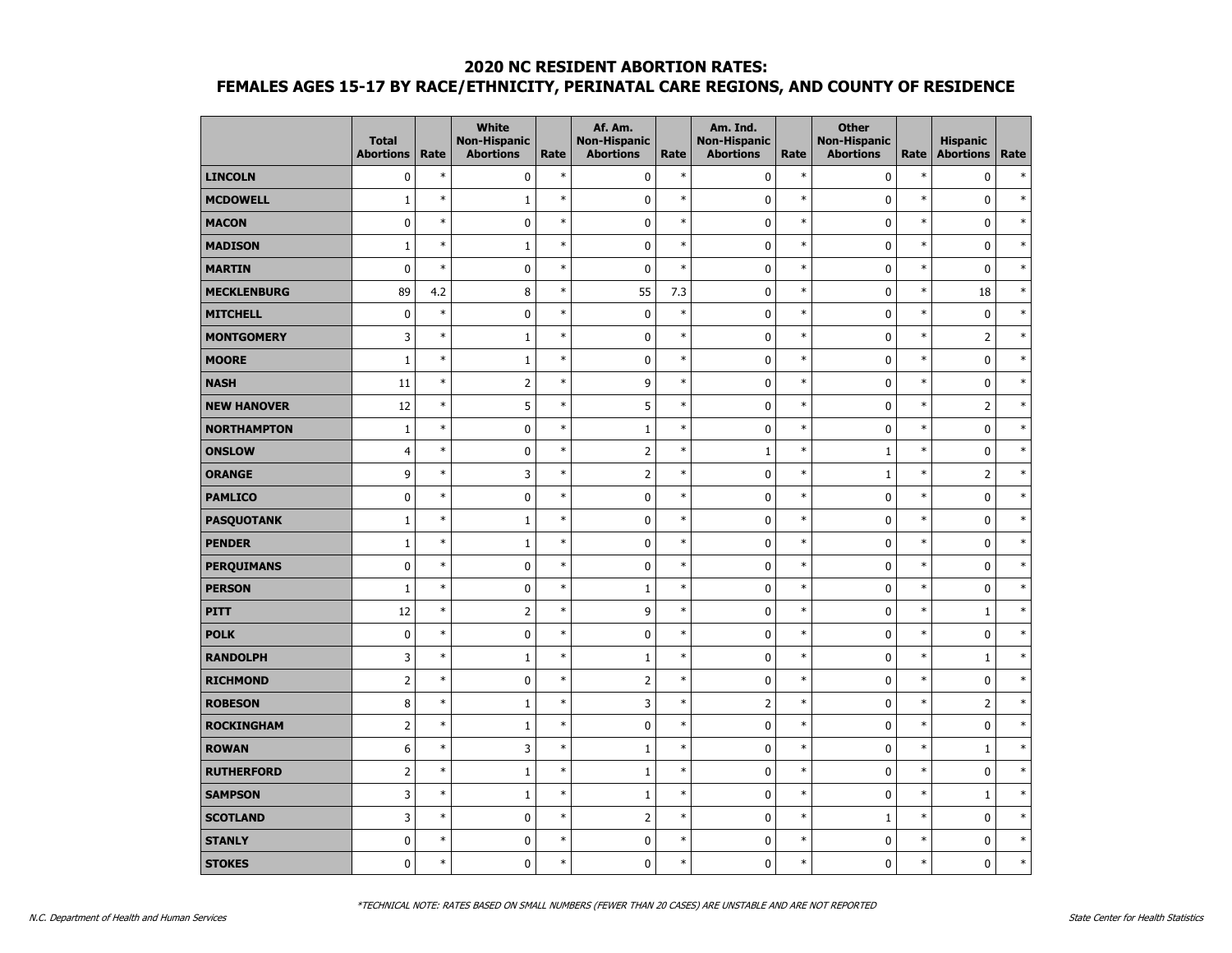|                    | <b>Total</b><br><b>Abortions</b> | Rate   | <b>White</b><br><b>Non-Hispanic</b><br><b>Abortions</b> | Rate   | Af. Am.<br><b>Non-Hispanic</b><br><b>Abortions</b> | Rate   | Am. Ind.<br><b>Non-Hispanic</b><br><b>Abortions</b> | Rate   | <b>Other</b><br><b>Non-Hispanic</b><br><b>Abortions</b> | Rate   | <b>Hispanic</b><br><b>Abortions</b> | Rate   |
|--------------------|----------------------------------|--------|---------------------------------------------------------|--------|----------------------------------------------------|--------|-----------------------------------------------------|--------|---------------------------------------------------------|--------|-------------------------------------|--------|
| <b>LINCOLN</b>     | $\mathbf 0$                      | $\ast$ | 0                                                       | $\ast$ | $\pmb{0}$                                          | $\ast$ | 0                                                   | $\ast$ | 0                                                       | $\ast$ | $\pmb{0}$                           | $\ast$ |
| <b>MCDOWELL</b>    | $\mathbf{1}$                     | $\ast$ | $\mathbf 1$                                             | $\ast$ | $\mathbf 0$                                        | $\ast$ | 0                                                   | $\ast$ | $\mathbf 0$                                             | $\ast$ | $\pmb{0}$                           | $\ast$ |
| <b>MACON</b>       | $\mathbf 0$                      | $\ast$ | $\mathbf 0$                                             | $\ast$ | $\pmb{0}$                                          | $\ast$ | 0                                                   | $\ast$ | $\mathbf 0$                                             | $\ast$ | $\mathbf 0$                         | $\ast$ |
| <b>MADISON</b>     | $\mathbf{1}$                     | $\ast$ | $\mathbf 1$                                             | $\ast$ | $\pmb{0}$                                          | $\ast$ | $\mathbf 0$                                         | $\ast$ | $\mathbf 0$                                             | $\ast$ | $\mathbf 0$                         | $\ast$ |
| <b>MARTIN</b>      | $\mathbf 0$                      | $\ast$ | 0                                                       | $\ast$ | $\pmb{0}$                                          | $\ast$ | $\pmb{0}$                                           | $\ast$ | 0                                                       | $\ast$ | $\pmb{0}$                           | $\ast$ |
| <b>MECKLENBURG</b> | 89                               | 4.2    | 8                                                       | $\ast$ | 55                                                 | 7.3    | 0                                                   | $\ast$ | 0                                                       | $\ast$ | 18                                  | $\ast$ |
| <b>MITCHELL</b>    | $\mathbf 0$                      | $\ast$ | $\pmb{0}$                                               | $\ast$ | $\pmb{0}$                                          | $\ast$ | $\pmb{0}$                                           | $\ast$ | $\mathbf 0$                                             | $\ast$ | $\pmb{0}$                           | $\ast$ |
| <b>MONTGOMERY</b>  | 3                                | $\ast$ | $1\,$                                                   | $\ast$ | $\pmb{0}$                                          | $\ast$ | $\mathbf 0$                                         | $\ast$ | $\mathbf 0$                                             | $\ast$ | $\overline{2}$                      | $\ast$ |
| <b>MOORE</b>       | $\mathbf{1}$                     | $\ast$ | $\mathbf{1}$                                            | $\ast$ | $\pmb{0}$                                          | $\ast$ | 0                                                   | $\ast$ | $\mathbf 0$                                             | $\ast$ | $\pmb{0}$                           | $\ast$ |
| <b>NASH</b>        | 11                               | $\ast$ | $\mathsf{2}$                                            | $\ast$ | 9                                                  | $\ast$ | 0                                                   | $\ast$ | 0                                                       | $\ast$ | $\pmb{0}$                           | $\ast$ |
| <b>NEW HANOVER</b> | 12                               | $\ast$ | 5                                                       | $\ast$ | 5                                                  | $\ast$ | $\pmb{0}$                                           | $\ast$ | $\pmb{0}$                                               | $\ast$ | $\overline{2}$                      | $\ast$ |
| <b>NORTHAMPTON</b> | $\mathbf{1}$                     | $\ast$ | 0                                                       | $\ast$ | $\mathbf 1$                                        | $\ast$ | 0                                                   | $\ast$ | $\mathbf 0$                                             | $\ast$ | $\pmb{0}$                           | $\ast$ |
| <b>ONSLOW</b>      | $\overline{4}$                   | $\ast$ | 0                                                       | $\ast$ | $\overline{2}$                                     | $\ast$ | $\mathbf{1}$                                        | $\ast$ | $\mathbf{1}$                                            | $\ast$ | $\pmb{0}$                           | $\ast$ |
| <b>ORANGE</b>      | 9                                | $\ast$ | 3                                                       | $\ast$ | $\overline{2}$                                     | $\ast$ | $\mathbf 0$                                         | $\ast$ | $\mathbf{1}$                                            | $\ast$ | $\overline{2}$                      | $\ast$ |
| <b>PAMLICO</b>     | $\mathbf 0$                      | $\ast$ | $\pmb{0}$                                               | $\ast$ | $\pmb{0}$                                          | $\ast$ | 0                                                   | $\ast$ | $\mathbf 0$                                             | $\ast$ | $\pmb{0}$                           | $\ast$ |
| <b>PASQUOTANK</b>  | $1\,$                            | $\ast$ | $1\,$                                                   | $\ast$ | $\pmb{0}$                                          | $\ast$ | $\mathbf 0$                                         | $\ast$ | $\mathbf 0$                                             | $\ast$ | $\pmb{0}$                           | $\ast$ |
| <b>PENDER</b>      | $\mathbf{1}$                     | $\ast$ | $\mathbf{1}$                                            | $\ast$ | $\pmb{0}$                                          | $\ast$ | 0                                                   | $\ast$ | 0                                                       | $\ast$ | $\pmb{0}$                           | $\ast$ |
| <b>PERQUIMANS</b>  | $\mathbf 0$                      | $\ast$ | 0                                                       | $\ast$ | $\pmb{0}$                                          | $\ast$ | 0                                                   | $\ast$ | $\mathbf 0$                                             | $\ast$ | $\mathbf 0$                         | $\ast$ |
| <b>PERSON</b>      | $\mathbf{1}$                     | $\ast$ | $\mathbf 0$                                             | $\ast$ | $\mathbf 1$                                        | $\ast$ | 0                                                   | $\ast$ | $\mathbf 0$                                             | $\ast$ | $\mathbf 0$                         | $\ast$ |
| <b>PITT</b>        | 12                               | $\ast$ | $\overline{2}$                                          | $\ast$ | 9                                                  | $\ast$ | $\mathbf 0$                                         | $\ast$ | $\mathbf 0$                                             | $\ast$ | $\mathbf 1$                         | $\ast$ |
| <b>POLK</b>        | $\mathbf 0$                      | $\ast$ | 0                                                       | $\ast$ | $\pmb{0}$                                          | $\ast$ | $\pmb{0}$                                           | $\ast$ | 0                                                       | $\ast$ | $\bf{0}$                            | $\ast$ |
| <b>RANDOLPH</b>    | 3                                | $\ast$ | $\mathbf{1}$                                            | $\ast$ | $1\,$                                              | $\ast$ | 0                                                   | $\ast$ | $\mathbf 0$                                             | $\ast$ | $1\,$                               | $\ast$ |
| <b>RICHMOND</b>    | $\overline{2}$                   | $\ast$ | $\mathbf 0$                                             | $\ast$ | $\overline{2}$                                     | $\ast$ | $\mathbf 0$                                         | $\ast$ | $\mathbf 0$                                             | $\ast$ | $\mathbf 0$                         | $\ast$ |
| <b>ROBESON</b>     | 8                                | $\ast$ | $\mathbf 1$                                             | $\ast$ | 3                                                  | $\ast$ | $\overline{2}$                                      | $\ast$ | $\mathbf 0$                                             | $\ast$ | $\overline{2}$                      | $\ast$ |
| <b>ROCKINGHAM</b>  | $\overline{2}$                   | $\ast$ | $\mathbf 1$                                             | $\ast$ | $\pmb{0}$                                          | $\ast$ | $\pmb{0}$                                           | $\ast$ | 0                                                       | $\ast$ | $\pmb{0}$                           | $\ast$ |
| <b>ROWAN</b>       | $6\phantom{1}6$                  | $\ast$ | 3                                                       | $\ast$ | $\mathbf{1}$                                       | $\ast$ | 0                                                   | $\ast$ | 0                                                       | $\ast$ | $\mathbf{1}$                        | $\ast$ |
| <b>RUTHERFORD</b>  | $\overline{2}$                   | $\ast$ | $\mathbf{1}$                                            | $\ast$ | $\mathbf 1$                                        | $\ast$ | 0                                                   | $\ast$ | 0                                                       | $\ast$ | $\mathbf 0$                         | $\ast$ |
| <b>SAMPSON</b>     | 3                                | $\ast$ | $\mathbf{1}$                                            | $\ast$ | $\mathbf 1$                                        | $\ast$ | $\mathbf 0$                                         | $\ast$ | $\mathbf 0$                                             | $\ast$ | $1\,$                               | $\ast$ |
| <b>SCOTLAND</b>    | 3                                | $\ast$ | $\pmb{0}$                                               | $\ast$ | $\overline{2}$                                     | $\ast$ | 0                                                   | $\ast$ | $\mathbf{1}$                                            | $\ast$ | $\pmb{0}$                           | $\ast$ |
| <b>STANLY</b>      | $\pmb{0}$                        | $\ast$ | 0                                                       | $\ast$ | $\pmb{0}$                                          | $\ast$ | 0                                                   | $\ast$ | 0                                                       | $\ast$ | $\pmb{0}$                           | $\ast$ |
| <b>STOKES</b>      | $\mathbf 0$                      | $\ast$ | 0                                                       | $\ast$ | $\mathbf 0$                                        | $\ast$ | 0                                                   | $\ast$ | 0                                                       | $\ast$ | $\mathbf 0$                         | $\ast$ |